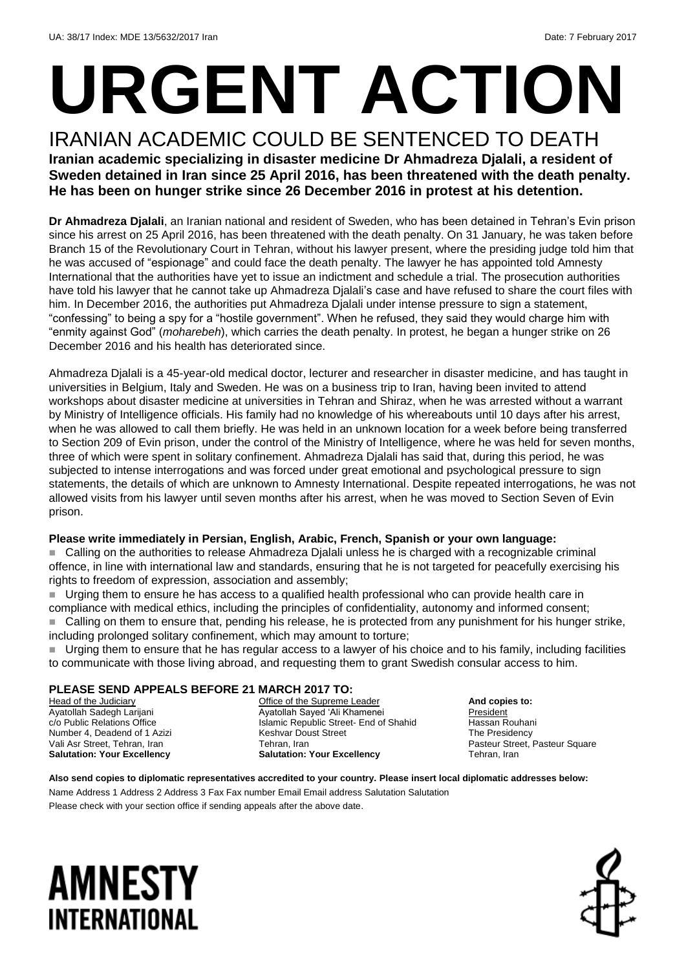# **URGENT ACTION**

IRANIAN ACADEMIC COULD BE SENTENCED TO DEATH **Iranian academic specializing in disaster medicine Dr Ahmadreza Djalali, a resident of Sweden detained in Iran since 25 April 2016, has been threatened with the death penalty. He has been on hunger strike since 26 December 2016 in protest at his detention.**

**Dr Ahmadreza Djalali**, an Iranian national and resident of Sweden, who has been detained in Tehran's Evin prison since his arrest on 25 April 2016, has been threatened with the death penalty. On 31 January, he was taken before Branch 15 of the Revolutionary Court in Tehran, without his lawyer present, where the presiding judge told him that he was accused of "espionage" and could face the death penalty. The lawyer he has appointed told Amnesty International that the authorities have yet to issue an indictment and schedule a trial. The prosecution authorities have told his lawyer that he cannot take up Ahmadreza Djalali's case and have refused to share the court files with him. In December 2016, the authorities put Ahmadreza Djalali under intense pressure to sign a statement, "confessing" to being a spy for a "hostile government". When he refused, they said they would charge him with "enmity against God" (*moharebeh*), which carries the death penalty. In protest, he began a hunger strike on 26 December 2016 and his health has deteriorated since.

Ahmadreza Djalali is a 45-year-old medical doctor, lecturer and researcher in disaster medicine, and has taught in universities in Belgium, Italy and Sweden. He was on a business trip to Iran, having been invited to attend workshops about disaster medicine at universities in Tehran and Shiraz, when he was arrested without a warrant by Ministry of Intelligence officials. His family had no knowledge of his whereabouts until 10 days after his arrest, when he was allowed to call them briefly. He was held in an unknown location for a week before being transferred to Section 209 of Evin prison, under the control of the Ministry of Intelligence, where he was held for seven months, three of which were spent in solitary confinement. Ahmadreza Djalali has said that, during this period, he was subjected to intense interrogations and was forced under great emotional and psychological pressure to sign statements, the details of which are unknown to Amnesty International. Despite repeated interrogations, he was not allowed visits from his lawyer until seven months after his arrest, when he was moved to Section Seven of Evin prison.

### **Please write immediately in Persian, English, Arabic, French, Spanish or your own language:**

 Calling on the authorities to release Ahmadreza Djalali unless he is charged with a recognizable criminal offence, in line with international law and standards, ensuring that he is not targeted for peacefully exercising his rights to freedom of expression, association and assembly;

 Urging them to ensure he has access to a qualified health professional who can provide health care in compliance with medical ethics, including the principles of confidentiality, autonomy and informed consent; ■ Calling on them to ensure that, pending his release, he is protected from any punishment for his hunger strike,

including prolonged solitary confinement, which may amount to torture;

 Urging them to ensure that he has regular access to a lawyer of his choice and to his family, including facilities to communicate with those living abroad, and requesting them to grant Swedish consular access to him.

#### **PLEASE SEND APPEALS BEFORE 21 MARCH 2017 TO:**

Head of the Judiciary Ayatollah Sadegh Larijani c/o Public Relations Office Number 4, Deadend of 1 Azizi Vali Asr Street, Tehran, Iran **Salutation: Your Excellency**

Office of the Supreme Leader Ayatollah Sayed 'Ali Khamenei Islamic Republic Street- End of Shahid Keshvar Doust Street Tehran, Iran **Salutation: Your Excellency**

**And copies to:** President Hassan Rouhani The Presidency Pasteur Street, Pasteur Square Tehran, Iran

**Also send copies to diplomatic representatives accredited to your country. Please insert local diplomatic addresses below:**

Name Address 1 Address 2 Address 3 Fax Fax number Email Email address Salutation Salutation Please check with your section office if sending appeals after the above date.